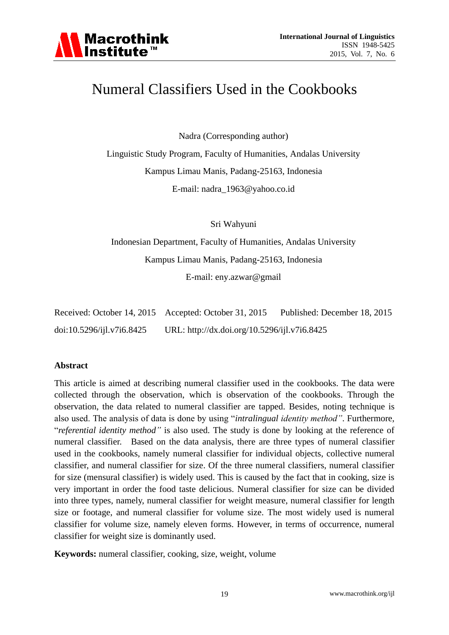

# Numeral Classifiers Used in the Cookbooks

Nadra (Corresponding author)

Linguistic Study Program, Faculty of Humanities, Andalas University Kampus Limau Manis, Padang-25163, Indonesia E-mail: nadra\_1963@yahoo.co.id

Sri Wahyuni

Indonesian Department, Faculty of Humanities, Andalas University Kampus Limau Manis, Padang-25163, Indonesia E-mail: eny.azwar@gmail

|                           | Received: October 14, 2015 Accepted: October 31, 2015 | Published: December 18, 2015 |
|---------------------------|-------------------------------------------------------|------------------------------|
| doi:10.5296/ij1.v7i6.8425 | URL: http://dx.doi.org/10.5296/ijl.v7i6.8425          |                              |

#### **Abstract**

This article is aimed at describing numeral classifier used in the cookbooks. The data were collected through the observation, which is observation of the cookbooks. Through the observation, the data related to numeral classifier are tapped. Besides, noting technique is also used. The analysis of data is done by using "*intralingual identity method"*. Furthermore, "*referential identity method"* is also used. The study is done by looking at the reference of numeral classifier. Based on the data analysis, there are three types of numeral classifier used in the cookbooks, namely numeral classifier for individual objects, collective numeral classifier, and numeral classifier for size. Of the three numeral classifiers, numeral classifier for size (mensural classifier) is widely used. This is caused by the fact that in cooking, size is very important in order the food taste delicious. Numeral classifier for size can be divided into three types, namely, numeral classifier for weight measure, numeral classifier for length size or footage, and numeral classifier for volume size. The most widely used is numeral classifier for volume size, namely eleven forms. However, in terms of occurrence, numeral classifier for weight size is dominantly used.

**Keywords:** numeral classifier, cooking, size, weight, volume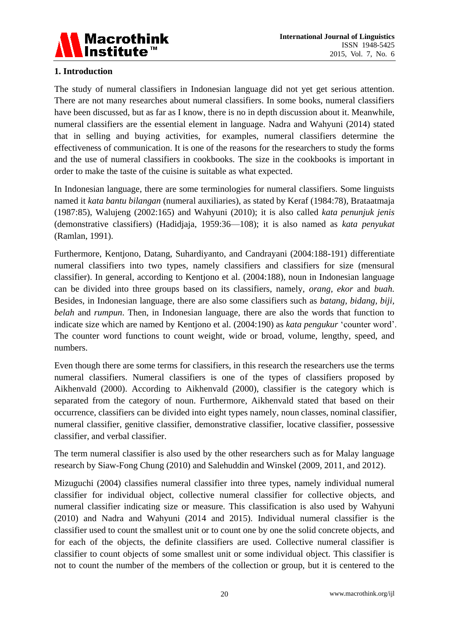

# **1. Introduction**

The study of numeral classifiers in Indonesian language did not yet get serious attention. There are not many researches about numeral classifiers. In some books, numeral classifiers have been discussed, but as far as I know, there is no in depth discussion about it. Meanwhile, numeral classifiers are the essential element in language. Nadra and Wahyuni (2014) stated that in selling and buying activities, for examples, numeral classifiers determine the effectiveness of communication. It is one of the reasons for the researchers to study the forms and the use of numeral classifiers in cookbooks. The size in the cookbooks is important in order to make the taste of the cuisine is suitable as what expected.

In Indonesian language, there are some terminologies for numeral classifiers. Some linguists named it *kata bantu bilangan* (numeral auxiliaries), as stated by Keraf (1984:78), Brataatmaja (1987:85), Walujeng (2002:165) and Wahyuni (2010); it is also called *kata penunjuk jenis* (demonstrative classifiers) (Hadidjaja, 1959:36—108); it is also named as *kata penyukat* (Ramlan, 1991).

Furthermore, Kentjono, Datang, Suhardiyanto, and Candrayani (2004:188-191) differentiate numeral classifiers into two types, namely classifiers and classifiers for size (mensural classifier). In general, according to Kentjono et al. (2004:188), noun in Indonesian language can be divided into three groups based on its classifiers, namely, *orang, ekor* and *buah.*  Besides, in Indonesian language, there are also some classifiers such as *batang, bidang, biji, belah* and *rumpun*. Then, in Indonesian language, there are also the words that function to indicate size which are named by Kentjono et al. (2004:190) as *kata pengukur* 'counter word'. The counter word functions to count weight, wide or broad, volume, lengthy, speed, and numbers.

Even though there are some terms for classifiers, in this research the researchers use the terms numeral classifiers. Numeral classifiers is one of the types of classifiers proposed by Aikhenvald (2000). According to Aikhenvald (2000), classifier is the category which is separated from the category of noun. Furthermore, Aikhenvald stated that based on their occurrence, classifiers can be divided into eight types namely, noun classes, nominal classifier, numeral classifier, genitive classifier, demonstrative classifier, locative classifier, possessive classifier, and verbal classifier.

The term numeral classifier is also used by the other researchers such as for Malay language research by Siaw-Fong Chung (2010) and Salehuddin and Winskel (2009, 2011, and 2012).

Mizuguchi (2004) classifies numeral classifier into three types, namely individual numeral classifier for individual object, collective numeral classifier for collective objects, and numeral classifier indicating size or measure. This classification is also used by Wahyuni (2010) and Nadra and Wahyuni (2014 and 2015). Individual numeral classifier is the classifier used to count the smallest unit or to count one by one the solid concrete objects, and for each of the objects, the definite classifiers are used. Collective numeral classifier is classifier to count objects of some smallest unit or some individual object. This classifier is not to count the number of the members of the collection or group, but it is centered to the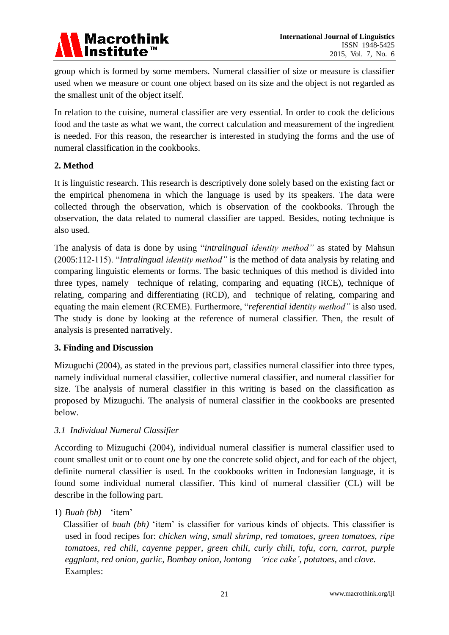

group which is formed by some members. Numeral classifier of size or measure is classifier used when we measure or count one object based on its size and the object is not regarded as the smallest unit of the object itself.

In relation to the cuisine, numeral classifier are very essential. In order to cook the delicious food and the taste as what we want, the correct calculation and measurement of the ingredient is needed. For this reason, the researcher is interested in studying the forms and the use of numeral classification in the cookbooks.

# **2. Method**

It is linguistic research. This research is descriptively done solely based on the existing fact or the empirical phenomena in which the language is used by its speakers. The data were collected through the observation, which is observation of the cookbooks. Through the observation, the data related to numeral classifier are tapped. Besides, noting technique is also used.

The analysis of data is done by using "*intralingual identity method"* as stated by Mahsun (2005:112-115). "*Intralingual identity method"* is the method of data analysis by relating and comparing linguistic elements or forms. The basic techniques of this method is divided into three types, namely technique of relating, comparing and equating (RCE), technique of relating, comparing and differentiating (RCD), and technique of relating, comparing and equating the main element (RCEME). Furthermore, "*referential identity method"* is also used. The study is done by looking at the reference of numeral classifier. Then, the result of analysis is presented narratively.

# **3. Finding and Discussion**

Mizuguchi (2004), as stated in the previous part, classifies numeral classifier into three types, namely individual numeral classifier, collective numeral classifier, and numeral classifier for size. The analysis of numeral classifier in this writing is based on the classification as proposed by Mizuguchi. The analysis of numeral classifier in the cookbooks are presented below.

# *3.1 Individual Numeral Classifier*

According to Mizuguchi (2004), individual numeral classifier is numeral classifier used to count smallest unit or to count one by one the concrete solid object, and for each of the object, definite numeral classifier is used. In the cookbooks written in Indonesian language, it is found some individual numeral classifier. This kind of numeral classifier (CL) will be describe in the following part.

#### 1) *Buah (bh)* 'item'

 Classifier of *buah (bh)* 'item' is classifier for various kinds of objects. This classifier is used in food recipes for: *chicken wing, small shrimp, red tomatoes, green tomatoes, ripe tomatoes, red chili, cayenne pepper, green chili, curly chili, tofu, corn, carrot, purple eggplant, red onion, garlic, Bombay onion, lontong 'rice cake', potatoes,* and *clove.* Examples: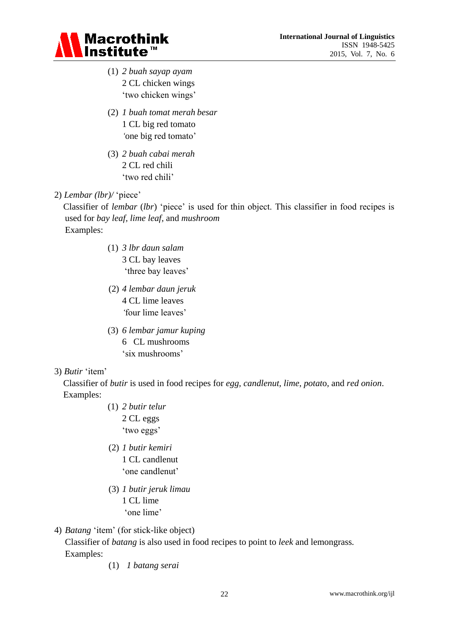

- (1) *2 buah sayap ayam* 2 CL chicken wings 'two chicken wings'
- (2) *1 buah tomat merah besar*  1 CL big red tomato  *'*one big red tomato'
- (3) *2 buah cabai merah*  2 CL red chili 'two red chili'

# 2) *Lembar (lbr)/* 'piece'

 Classifier of *lembar* (*lbr*) 'piece' is used for thin object. This classifier in food recipes is used for *bay leaf, lime leaf,* and *mushroom* Examples:

- (1) *3 lbr daun salam* 3 CL bay leaves 'three bay leaves'
- (2) *4 lembar daun jeruk* 4 CL lime leaves  *'*four lime leaves'
- (3) *6 lembar jamur kuping* 6 CL mushrooms 'six mushrooms'

# 3) *Butir* 'item'

 Classifier of *butir* is used in food recipes for *egg, candlenut, lime*, *potat*o*,* and *red onion*. Examples:

- (1) *2 butir telur* 2 CL eggs 'two eggs'
- (2) *1 butir kemiri* 1 CL candlenut 'one candlenut'
- (3) *1 butir jeruk limau* 1 CL lime 'one lime'
- 4) *Batang* 'item' (for stick-like object)

Classifier of *batang* is also used in food recipes to point to *leek* and lemongrass*.* Examples:

(1) *1 batang serai*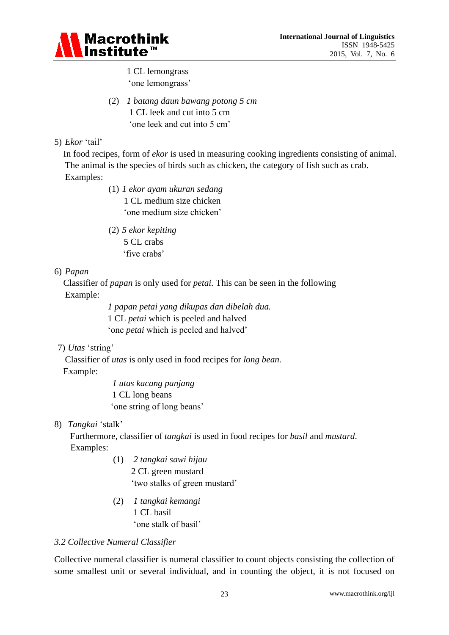

 1 CL lemongrass 'one lemongrass'

(2) *1 batang daun bawang potong 5 cm* 1 CL leek and cut into 5 cm 'one leek and cut into 5 cm'

# 5) *Ekor* 'tail'

 In food recipes, form of *ekor* is used in measuring cooking ingredients consisting of animal. The animal is the species of birds such as chicken, the category of fish such as crab. Examples:

- (1) *1 ekor ayam ukuran sedang* 1 CL medium size chicken 'one medium size chicken'
- (2) *5 ekor kepiting* 5 CL crabs 'five crabs'

# 6) *Papan*

 Classifier of *papan* is only used for *petai.* This can be seen in the following Example:

> *1 papan petai yang dikupas dan dibelah dua.* 1 CL *petai* which is peeled and halved 'one *petai* which is peeled and halved'

# 7) *Utas* 'string'

Classifier of *utas* is only used in food recipes for *long bean.*  Example:

> *1 utas kacang panjang* 1 CL long beans 'one string of long beans'

# 8) *Tangkai* 'stalk'

Furthermore, classifier of *tangkai* is used in food recipes for *basil* and *mustard*. Examples:

- (1) *2 tangkai sawi hijau* 2 CL green mustard 'two stalks of green mustard'
- (2) *1 tangkai kemangi* 1 CL basil 'one stalk of basil'

# *3.2 Collective Numeral Classifier*

Collective numeral classifier is numeral classifier to count objects consisting the collection of some smallest unit or several individual, and in counting the object, it is not focused on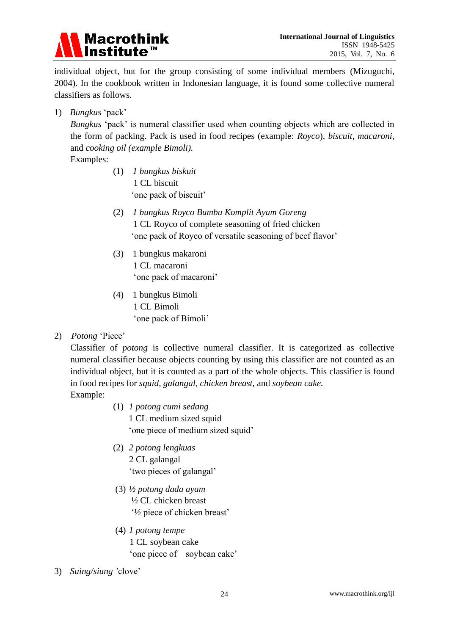

individual object, but for the group consisting of some individual members (Mizuguchi, 2004). In the cookbook written in Indonesian language, it is found some collective numeral classifiers as follows.

1) *Bungkus* 'pack'

*Bungkus* 'pack' is numeral classifier used when counting objects which are collected in the form of packing. Pack is used in food recipes (example: *Royco*), *biscuit, macaroni,*  and *cooking oil (example Bimoli).*

Examples:

- (1) *1 bungkus biskuit* 1 CL biscuit 'one pack of biscuit'
- (2) *1 bungkus Royco Bumbu Komplit Ayam Goreng* 1 CL Royco of complete seasoning of fried chicken 'one pack of Royco of versatile seasoning of beef flavor'
- (3) 1 bungkus makaroni 1 CL macaroni 'one pack of macaroni'
- (4) 1 bungkus Bimoli 1 CL Bimoli 'one pack of Bimoli'
- 2) *Potong* 'Piece'

Classifier of *potong* is collective numeral classifier. It is categorized as collective numeral classifier because objects counting by using this classifier are not counted as an individual object, but it is counted as a part of the whole objects. This classifier is found in food recipes for *squid, galangal, chicken breast,* and *soybean cake.* Example:

- (1) *1 potong cumi sedang*  1 CL medium sized squid 'one piece of medium sized squid'
- (2) *2 potong lengkuas* 2 CL galangal 'two pieces of galangal'
- (3) *½ potong dada ayam* ½ CL chicken breast '½ piece of chicken breast'
- (4) *1 potong tempe* 1 CL soybean cake 'one piece of soybean cake'
- 3) *Suing/siung '*clove'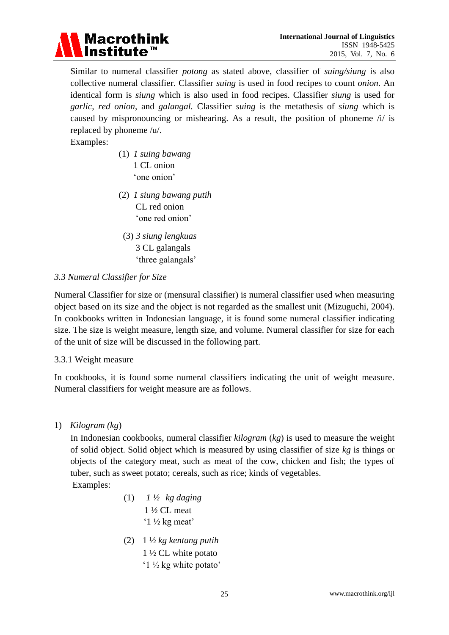

Similar to numeral classifier *potong* as stated above, classifier of *suing/siung* is also collective numeral classifier. Classifier *suing* is used in food recipes to count *onion*. An identical form is *siung* which is also used in food recipes. Classifier *siung* is used for *garlic, red onion*, and *galangal.* Classifier *suing* is the metathesis of *siung* which is caused by mispronouncing or mishearing. As a result, the position of phoneme /i/ is replaced by phoneme /u/.

Examples:

- (1) *1 suing bawang* 1 CL onion 'one onion'
- (2) *1 siung bawang putih* CL red onion 'one red onion'
	- (3) *3 siung lengkuas* 3 CL galangals 'three galangals'

# *3.3 Numeral Classifier for Size*

Numeral Classifier for size or (mensural classifier) is numeral classifier used when measuring object based on its size and the object is not regarded as the smallest unit (Mizuguchi, 2004). In cookbooks written in Indonesian language, it is found some numeral classifier indicating size. The size is weight measure, length size, and volume. Numeral classifier for size for each of the unit of size will be discussed in the following part.

# 3.3.1 Weight measure

In cookbooks, it is found some numeral classifiers indicating the unit of weight measure. Numeral classifiers for weight measure are as follows.

# 1) *Kilogram (kg*)

In Indonesian cookbooks, numeral classifier *kilogram* (*kg*) is used to measure the weight of solid object. Solid object which is measured by using classifier of size *kg* is things or objects of the category meat, such as meat of the cow, chicken and fish; the types of tuber, such as sweet potato; cereals, such as rice; kinds of vegetables. Examples:

- (1) *1 ½ kg daging* 1 ½ CL meat '1 ½ kg meat'
- (2) 1 ½ *kg kentang putih*  $1\frac{1}{2}$  CL white potato '1 ½ kg white potato'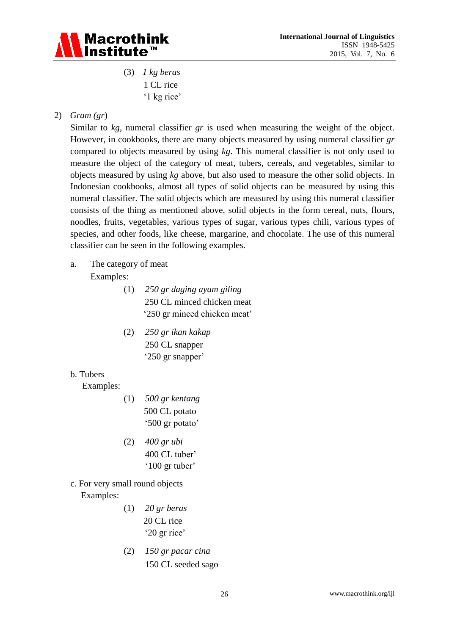

(3) *1 kg beras* 1 CL rice '1 kg rice'

# 2) *Gram (gr*)

Similar to *kg*, numeral classifier *gr* is used when measuring the weight of the object. However, in cookbooks, there are many objects measured by using numeral classifier *gr* compared to objects measured by using *kg*. This numeral classifier is not only used to measure the object of the category of meat, tubers, cereals, and vegetables, similar to objects measured by using *kg* above, but also used to measure the other solid objects. In Indonesian cookbooks, almost all types of solid objects can be measured by using this numeral classifier. The solid objects which are measured by using this numeral classifier consists of the thing as mentioned above, solid objects in the form cereal, nuts, flours, noodles, fruits, vegetables, various types of sugar, various types chili, various types of species, and other foods, like cheese, margarine, and chocolate. The use of this numeral classifier can be seen in the following examples.

- a. The category of meat Examples:
	- (1) *250 gr daging ayam giling* 250 CL minced chicken meat '250 gr minced chicken meat'
	- (2) *250 gr ikan kakap* 250 CL snapper '250 gr snapper'

# b. Tubers

Examples:

- (1) *500 gr kentang* 500 CL potato '500 gr potato'
- (2) *400 gr ubi* 400 CL tuber' '100 gr tuber'
- c. For very small round objects Examples:
	- (1) *20 gr beras* 20 CL rice '20 gr rice'
	- (2) *150 gr pacar cina*  150 CL seeded sago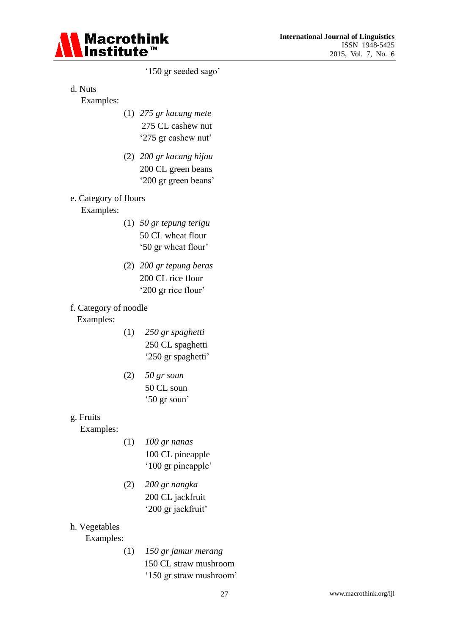

'150 gr seeded sago'

d. Nuts

Examples:

- (1) *275 gr kacang mete* 275 CL cashew nut '275 gr cashew nut'
- (2) *200 gr kacang hijau* 200 CL green beans '200 gr green beans'

# e. Category of flours Examples:

- (1) *50 gr tepung terigu* 50 CL wheat flour '50 gr wheat flour'
- (2) *200 gr tepung beras* 200 CL rice flour '200 gr rice flour'

# f. Category of noodle Examples:

- (1) *250 gr spaghetti* 250 CL spaghetti '250 gr spaghetti'
- (2) *50 gr soun* 50 CL soun '50 gr soun'

# g. Fruits

Examples:

- (1) *100 gr nanas* 100 CL pineapple '100 gr pineapple'
- (2) *200 gr nangka* 200 CL jackfruit '200 gr jackfruit'

# h. Vegetables

Examples:

(1) *150 gr jamur merang* 150 CL straw mushroom '150 gr straw mushroom'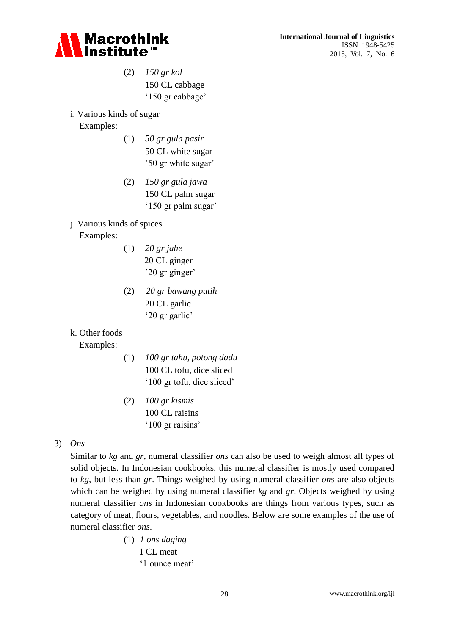

- (2) *150 gr kol* 150 CL cabbage '150 gr cabbage'
- i. Various kinds of sugar

Examples:

- (1) *50 gr gula pasir* 50 CL white sugar '50 gr white sugar'
- (2) *150 gr gula jawa* 150 CL palm sugar '150 gr palm sugar'
- j. Various kinds of spices

Examples:

- (1) *20 gr jahe* 20 CL ginger '20 gr ginger'
- (2) *20 gr bawang putih* 20 CL garlic '20 gr garlic'
- k. Other foods

Examples:

- (1) *100 gr tahu, potong dadu* 100 CL tofu, dice sliced '100 gr tofu, dice sliced'
- (2) *100 gr kismis* 100 CL raisins '100 gr raisins'
- 3) *Ons*

Similar to *kg* and *gr*, numeral classifier *ons* can also be used to weigh almost all types of solid objects. In Indonesian cookbooks, this numeral classifier is mostly used compared to *kg*, but less than *gr*. Things weighed by using numeral classifier *ons* are also objects which can be weighed by using numeral classifier *kg* and *gr*. Objects weighed by using numeral classifier *ons* in Indonesian cookbooks are things from various types, such as category of meat, flours, vegetables, and noodles. Below are some examples of the use of numeral classifier *ons*.

> (1) *1 ons daging* 1 CL meat '1 ounce meat'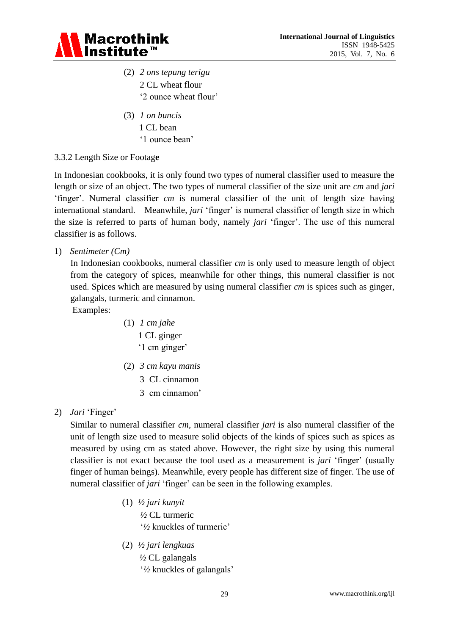

- (2) *2 ons tepung terigu* 2 CL wheat flour '2 ounce wheat flour'
- (3) *1 on buncis* 1 CL bean '1 ounce bean'
- 3.3.2 Length Size or Footag**e**

In Indonesian cookbooks, it is only found two types of numeral classifier used to measure the length or size of an object. The two types of numeral classifier of the size unit are *cm* and *jari* 'finger'. Numeral classifier *cm* is numeral classifier of the unit of length size having international standard. Meanwhile, *jari* 'finger' is numeral classifier of length size in which the size is referred to parts of human body, namely *jari* 'finger'. The use of this numeral classifier is as follows.

1) *Sentimeter (Cm)*

In Indonesian cookbooks, numeral classifier *cm* is only used to measure length of object from the category of spices, meanwhile for other things, this numeral classifier is not used. Spices which are measured by using numeral classifier *cm* is spices such as ginger, galangals, turmeric and cinnamon.

Examples:

- (1) *1 cm jahe* 1 CL ginger '1 cm ginger'
- (2) *3 cm kayu manis*
	- 3 CL cinnamon
	- 3 cm cinnamon'
- 2) *Jari* 'Finger'

Similar to numeral classifier *cm*, numeral classifier *jari* is also numeral classifier of the unit of length size used to measure solid objects of the kinds of spices such as spices as measured by using cm as stated above. However, the right size by using this numeral classifier is not exact because the tool used as a measurement is *jari* 'finger' (usually finger of human beings). Meanwhile, every people has different size of finger. The use of numeral classifier of *jari* 'finger' can be seen in the following examples.

- (1) *½ jari kunyit ½* CL turmeric '*½* knuckles of turmeric'
- (2) *½ jari lengkuas ½* CL galangals '*½* knuckles of galangals'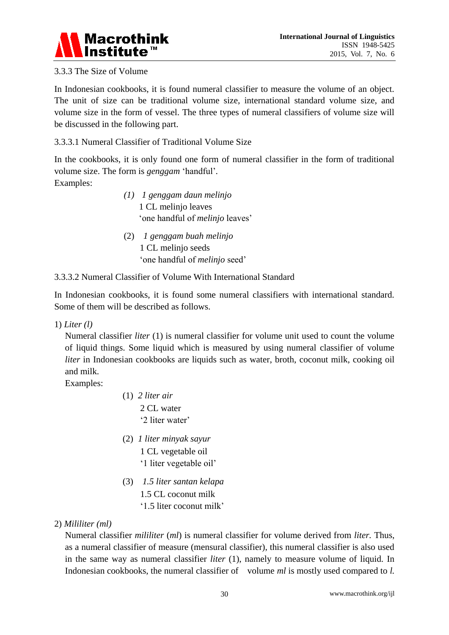

# 3.3.3 The Size of Volume

In Indonesian cookbooks, it is found numeral classifier to measure the volume of an object. The unit of size can be traditional volume size, international standard volume size, and volume size in the form of vessel. The three types of numeral classifiers of volume size will be discussed in the following part.

#### 3.3.3.1 Numeral Classifier of Traditional Volume Size

In the cookbooks, it is only found one form of numeral classifier in the form of traditional volume size. The form is *genggam* 'handful'*.* 

Examples:

- *(1) 1 genggam daun melinjo* 1 CL melinjo leaves 'one handful of *melinjo* leaves'
- (2) *1 genggam buah melinjo* 1 CL melinjo seeds 'one handful of *melinjo* seed'

#### 3.3.3.2 Numeral Classifier of Volume With International Standard

In Indonesian cookbooks, it is found some numeral classifiers with international standard. Some of them will be described as follows.

#### 1) *Liter (l)*

Numeral classifier *liter* (1) is numeral classifier for volume unit used to count the volume of liquid things. Some liquid which is measured by using numeral classifier of volume *liter* in Indonesian cookbooks are liquids such as water, broth, coconut milk, cooking oil and milk.

Examples:

- (1) *2 liter air* 2 CL water '2 liter water'
- (2) *1 liter minyak sayur* 1 CL vegetable oil '1 liter vegetable oil'
- (3) *1.5 liter santan kelapa* 1.5 CL coconut milk '1.5 liter coconut milk'

#### 2) *Mililiter (ml)*

Numeral classifier *mililiter* (*ml*) is numeral classifier for volume derived from *liter.* Thus, as a numeral classifier of measure (mensural classifier), this numeral classifier is also used in the same way as numeral classifier *liter* (1), namely to measure volume of liquid. In Indonesian cookbooks, the numeral classifier of volume *ml* is mostly used compared to *l.*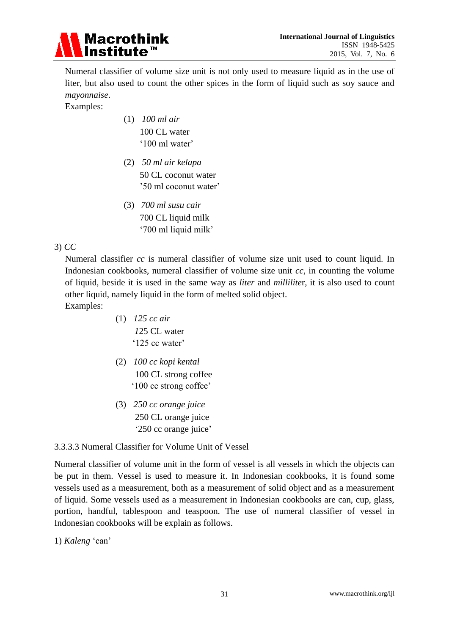

Numeral classifier of volume size unit is not only used to measure liquid as in the use of liter, but also used to count the other spices in the form of liquid such as soy sauce and *mayonnaise*.

Examples:

- (1) *100 ml air*  100 CL water '100 ml water'
- (2) *50 ml air kelapa* 50 CL coconut water '50 ml coconut water'
- (3) *700 ml susu cair*  700 CL liquid milk '700 ml liquid milk'

# 3) *CC*

Numeral classifier *cc* is numeral classifier of volume size unit used to count liquid. In Indonesian cookbooks, numeral classifier of volume size unit *cc*, in counting the volume of liquid, beside it is used in the same way as *liter* and *millilite*r, it is also used to count other liquid, namely liquid in the form of melted solid object. Examples:

- (1) *125 cc air 1*25 CL water '125 cc water'
- (2) *100 cc kopi kental* 100 CL strong coffee '100 cc strong coffee'
- (3) *250 cc orange juice* 250 CL orange juice '250 cc orange juice'

# 3.3.3.3 Numeral Classifier for Volume Unit of Vessel

Numeral classifier of volume unit in the form of vessel is all vessels in which the objects can be put in them. Vessel is used to measure it. In Indonesian cookbooks, it is found some vessels used as a measurement, both as a measurement of solid object and as a measurement of liquid. Some vessels used as a measurement in Indonesian cookbooks are can, cup, glass, portion, handful, tablespoon and teaspoon. The use of numeral classifier of vessel in Indonesian cookbooks will be explain as follows.

1) *Kaleng* 'can'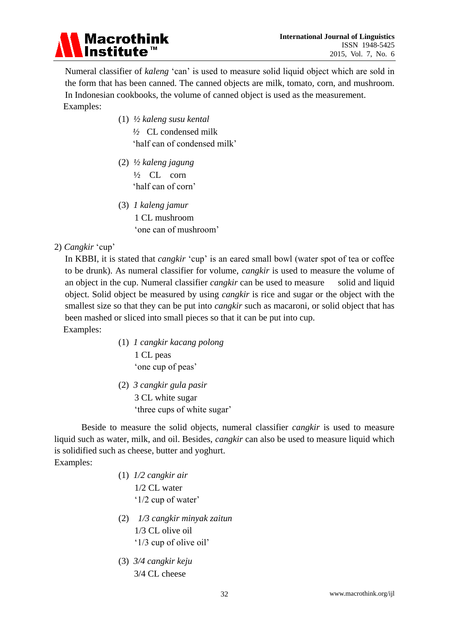

Numeral classifier of *kaleng* 'can' is used to measure solid liquid object which are sold in the form that has been canned. The canned objects are milk, tomato, corn, and mushroom. In Indonesian cookbooks, the volume of canned object is used as the measurement. Examples:

- (1) *½ kaleng susu kental ½* CL condensed milk 'half can of condensed milk'
- (2) *½ kaleng jagung*  $\frac{1}{2}$  CL corn 'half can of corn'
- (3) *1 kaleng jamur* 1 CL mushroom 'one can of mushroom'

# 2) *Cangkir* 'cup'

In KBBI, it is stated that *cangkir* 'cup' is an eared small bowl (water spot of tea or coffee to be drunk). As numeral classifier for volume, *cangkir* is used to measure the volume of an object in the cup. Numeral classifier *cangkir* can be used to measure solid and liquid object. Solid object be measured by using *cangkir* is rice and sugar or the object with the smallest size so that they can be put into *cangkir* such as macaroni, or solid object that has been mashed or sliced into small pieces so that it can be put into cup. Examples:

- (1) *1 cangkir kacang polong*  1 CL peas 'one cup of peas'
- (2) *3 cangkir gula pasir* 3 CL white sugar 'three cups of white sugar'

 Beside to measure the solid objects, numeral classifier *cangkir* is used to measure liquid such as water, milk, and oil. Besides, *cangkir* can also be used to measure liquid which is solidified such as cheese, butter and yoghurt.

Examples:

- (1) *1/2 cangkir air* 1/2 CL water '1/2 cup of water'
- (2) *1/3 cangkir minyak zaitun* 1/3 CL olive oil '1/3 cup of olive oil'
- (3) *3/4 cangkir keju* 3/4 CL cheese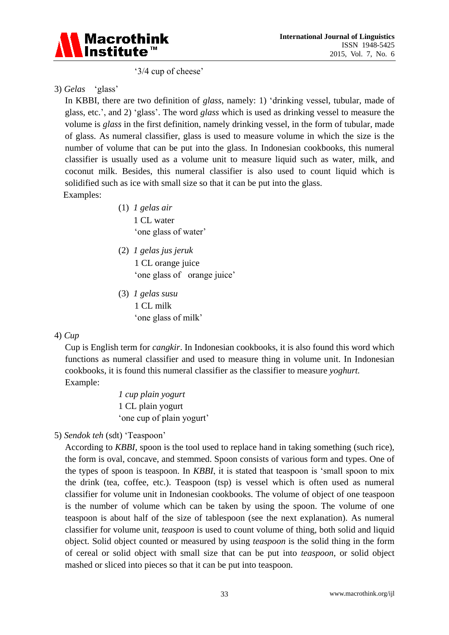

'3/4 cup of cheese'

# 3) *Gelas* 'glass'

In KBBI, there are two definition of *glass*, namely: 1) 'drinking vessel, tubular, made of glass, etc.', and 2) 'glass'. The word *glass* which is used as drinking vessel to measure the volume is *glass* in the first definition, namely drinking vessel, in the form of tubular, made of glass. As numeral classifier, glass is used to measure volume in which the size is the number of volume that can be put into the glass. In Indonesian cookbooks, this numeral classifier is usually used as a volume unit to measure liquid such as water, milk, and coconut milk. Besides, this numeral classifier is also used to count liquid which is solidified such as ice with small size so that it can be put into the glass. Examples:

- (1) *1 gelas air* 1 CL water 'one glass of water'
- (2) *1 gelas jus jeruk* 1 CL orange juice 'one glass of orange juice'
- (3) *1 gelas susu* 1 CL milk 'one glass of milk'

# 4) *Cup*

Cup is English term for *cangkir*. In Indonesian cookbooks, it is also found this word which functions as numeral classifier and used to measure thing in volume unit. In Indonesian cookbooks, it is found this numeral classifier as the classifier to measure *yoghurt.* Example:

> *1 cup plain yogurt* 1 CL plain yogurt 'one cup of plain yogurt'

# 5) *Sendok teh* (sdt) 'Teaspoon'

According to *KBBI*, spoon is the tool used to replace hand in taking something (such rice), the form is oval, concave, and stemmed. Spoon consists of various form and types. One of the types of spoon is teaspoon. In *KBBI*, it is stated that teaspoon is 'small spoon to mix the drink (tea, coffee, etc.). Teaspoon (tsp) is vessel which is often used as numeral classifier for volume unit in Indonesian cookbooks. The volume of object of one teaspoon is the number of volume which can be taken by using the spoon. The volume of one teaspoon is about half of the size of tablespoon (see the next explanation). As numeral classifier for volume unit, *teaspoon* is used to count volume of thing, both solid and liquid object. Solid object counted or measured by using *teaspoon* is the solid thing in the form of cereal or solid object with small size that can be put into *teaspoon*, or solid object mashed or sliced into pieces so that it can be put into teaspoon.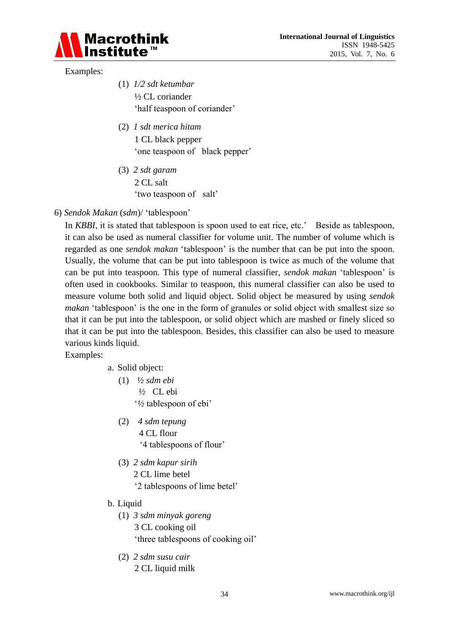**Macrothink** Institute  $^{\text{\tiny{m}}}$ 

Examples:

- (1) *1/2 sdt ketumbar* ½ CL coriander 'half teaspoon of coriander'
- (2) *1 sdt merica hitam* 1 CL black pepper 'one teaspoon of black pepper'
- (3) *2 sdt garam* 2 CL salt 'two teaspoon of salt'

# 6) *Sendok Makan* (*sdm*)/ 'tablespoon'

In *KBBI*, it is stated that tablespoon is spoon used to eat rice, etc.' Beside as tablespoon, it can also be used as numeral classifier for volume unit. The number of volume which is regarded as one *sendok makan* 'tablespoon' is the number that can be put into the spoon. Usually, the volume that can be put into tablespoon is twice as much of the volume that can be put into teaspoon. This type of numeral classifier, *sendok makan* 'tablespoon' is often used in cookbooks. Similar to teaspoon, this numeral classifier can also be used to measure volume both solid and liquid object. Solid object be measured by using *sendok makan* 'tablespoon' is the one in the form of granules or solid object with smallest size so that it can be put into the tablespoon, or solid object which are mashed or finely sliced so that it can be put into the tablespoon. Besides, this classifier can also be used to measure various kinds liquid.

# Examples:

- a. Solid object:
	- (1) *½ sdm ebi ½* CL ebi '*½* tablespoon of ebi'
	- (2) *4 sdm tepung*  4 CL flour '4 tablespoons of flour'
	- (3) *2 sdm kapur sirih* 2 CL lime betel '2 tablespoons of lime betel'
- b. Liquid
	- (1) *3 sdm minyak goreng* 3 CL cooking oil 'three tablespoons of cooking oil'
	- (2) *2 sdm susu cair* 2 CL liquid milk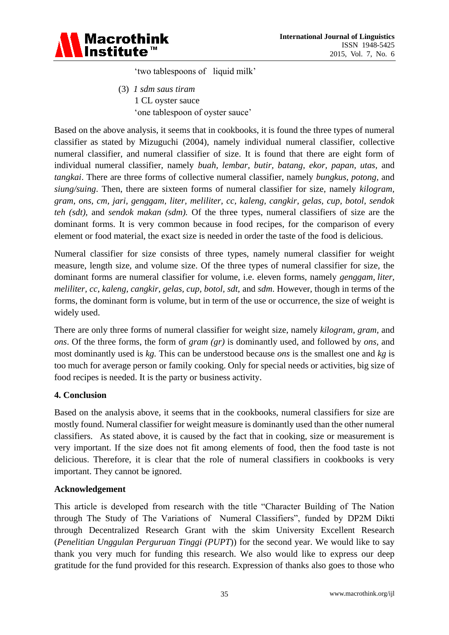

'two tablespoons of liquid milk'

(3) *1 sdm saus tiram* 1 CL oyster sauce 'one tablespoon of oyster sauce'

Based on the above analysis, it seems that in cookbooks, it is found the three types of numeral classifier as stated by Mizuguchi (2004), namely individual numeral classifier, collective numeral classifier, and numeral classifier of size. It is found that there are eight form of individual numeral classifier, namely *buah, lembar, butir, batang, ekor, papan, utas,* and *tangkai*. There are three forms of collective numeral classifier, namely *bungkus, potong,* and *siung/suing*. Then, there are sixteen forms of numeral classifier for size, namely *kilogram, gram, ons, cm, jari, genggam, liter, meliliter, cc, kaleng, cangkir, gelas, cup, botol, sendok teh (sdt),* and *sendok makan (sdm).* Of the three types, numeral classifiers of size are the dominant forms. It is very common because in food recipes, for the comparison of every element or food material, the exact size is needed in order the taste of the food is delicious.

Numeral classifier for size consists of three types, namely numeral classifier for weight measure, length size, and volume size. Of the three types of numeral classifier for size, the dominant forms are numeral classifier for volume, i.e. eleven forms, namely *genggam, liter, meliliter, cc, kaleng, cangkir, gelas, cup, botol, sdt,* and *sdm*. However, though in terms of the forms, the dominant form is volume, but in term of the use or occurrence, the size of weight is widely used.

There are only three forms of numeral classifier for weight size, namely *kilogram, gram,* and *ons*. Of the three forms, the form of *gram (gr)* is dominantly used, and followed by *ons,* and most dominantly used is *kg.* This can be understood because *ons* is the smallest one and *kg* is too much for average person or family cooking. Only for special needs or activities, big size of food recipes is needed. It is the party or business activity.

# **4. Conclusion**

Based on the analysis above, it seems that in the cookbooks, numeral classifiers for size are mostly found. Numeral classifier for weight measure is dominantly used than the other numeral classifiers. As stated above, it is caused by the fact that in cooking, size or measurement is very important. If the size does not fit among elements of food, then the food taste is not delicious. Therefore, it is clear that the role of numeral classifiers in cookbooks is very important. They cannot be ignored.

# **Acknowledgement**

This article is developed from research with the title "Character Building of The Nation through The Study of The Variations of Numeral Classifiers", funded by DP2M Dikti through Decentralized Research Grant with the skim University Excellent Research (*Penelitian Unggulan Perguruan Tinggi (PUPT*)) for the second year. We would like to say thank you very much for funding this research. We also would like to express our deep gratitude for the fund provided for this research. Expression of thanks also goes to those who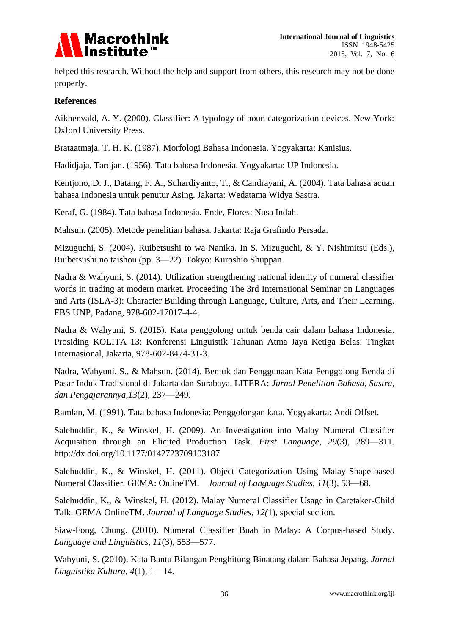

helped this research. Without the help and support from others, this research may not be done properly.

#### **References**

Aikhenvald, A. Y. (2000). Classifier: A typology of noun categorization devices. New York: Oxford University Press.

Brataatmaja, T. H. K. (1987). Morfologi Bahasa Indonesia. Yogyakarta: Kanisius.

Hadidjaja, Tardjan. (1956). Tata bahasa Indonesia. Yogyakarta: UP Indonesia.

Kentjono, D. J., Datang, F. A., Suhardiyanto, T., & Candrayani, A. (2004). Tata bahasa acuan bahasa Indonesia untuk penutur Asing. Jakarta: Wedatama Widya Sastra.

Keraf, G. (1984). Tata bahasa Indonesia. Ende, Flores: Nusa Indah.

Mahsun. (2005). Metode penelitian bahasa. Jakarta: Raja Grafindo Persada.

Mizuguchi, S. (2004). Ruibetsushi to wa Nanika. In S. Mizuguchi, & Y. Nishimitsu (Eds.), Ruibetsushi no taishou (pp. 3—22). Tokyo: Kuroshio Shuppan.

Nadra & Wahyuni, S. (2014). Utilization strengthening national identity of numeral classifier words in trading at modern market. Proceeding The 3rd International Seminar on Languages and Arts (ISLA-3): Character Building through Language, Culture, Arts, and Their Learning. FBS UNP, Padang, 978-602-17017-4-4.

Nadra & Wahyuni, S. (2015). Kata penggolong untuk benda cair dalam bahasa Indonesia. Prosiding KOLITA 13: Konferensi Linguistik Tahunan Atma Jaya Ketiga Belas: Tingkat Internasional, Jakarta, 978-602-8474-31-3.

Nadra, Wahyuni, S., & Mahsun. (2014). Bentuk dan Penggunaan Kata Penggolong Benda di Pasar Induk Tradisional di Jakarta dan Surabaya. LITERA: *Jurnal Penelitian Bahasa, Sastra, dan Pengajarannya,13*(2), 237—249.

Ramlan, M. (1991). Tata bahasa Indonesia: Penggolongan kata. Yogyakarta: Andi Offset.

Salehuddin, K., & Winskel, H. (2009). An Investigation into Malay Numeral Classifier Acquisition through an Elicited Production Task. *First Language, 29*(3), 289—311. http://dx.doi.org/10.1177/0142723709103187

Salehuddin, K., & Winskel, H. (2011). Object Categorization Using Malay-Shape-based Numeral Classifier. GEMA: OnlineTM. *Journal of Language Studies, 11*(3), 53—68.

Salehuddin, K., & Winskel, H. (2012). Malay Numeral Classifier Usage in Caretaker-Child Talk. GEMA OnlineTM. *Journal of Language Studies, 12(*1), special section.

Siaw-Fong, Chung. (2010). Numeral Classifier Buah in Malay: A Corpus-based Study. *Language and Linguistics, 11*(3), 553—577.

Wahyuni, S. (2010). Kata Bantu Bilangan Penghitung Binatang dalam Bahasa Jepang. *Jurnal Linguistika Kultura, 4*(1), 1—14.